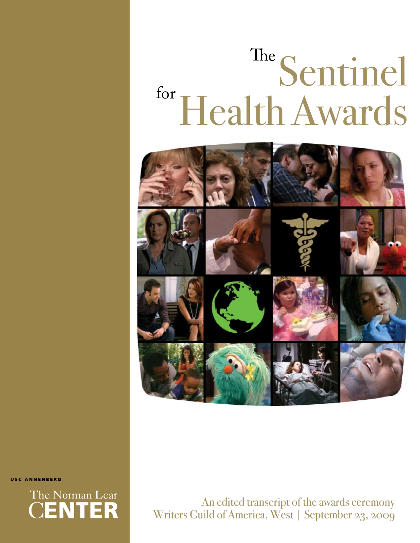# Sentinel Health Awards The for



USC ANNENBERG



An edited transcript of the awards ceremony Writers Guild of America, West | September 23, 2009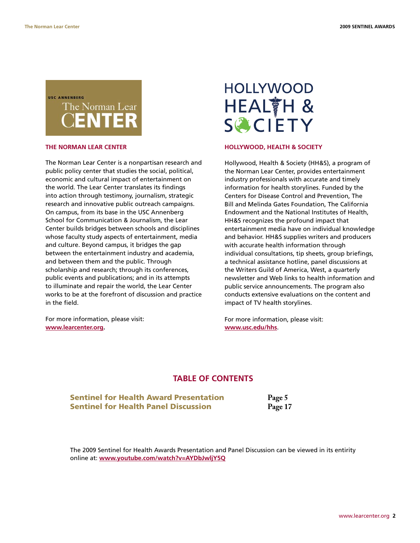### USC ANNENRERG The Norman Lear **ENTER**

#### **THE NORMAN LEAR CENTER**

The Norman Lear Center is a nonpartisan research and public policy center that studies the social, political, economic and cultural impact of entertainment on the world. The Lear Center translates its findings into action through testimony, journalism, strategic research and innovative public outreach campaigns. On campus, from its base in the USC Annenberg School for Communication & Journalism, the Lear Center builds bridges between schools and disciplines whose faculty study aspects of entertainment, media and culture. Beyond campus, it bridges the gap between the entertainment industry and academia, and between them and the public. Through scholarship and research; through its conferences, public events and publications; and in its attempts to illuminate and repair the world, the Lear Center works to be at the forefront of discussion and practice in the field.

For more information, please visit: **www.learcenter.org.**

## **HOLLYWOOD** HEALTH & **SCIETY**

#### **HOLLYWOOD, HEALTH & SOCIETY**

Hollywood, Health & Society (HH&S), a program of the Norman Lear Center, provides entertainment industry professionals with accurate and timely information for health storylines. Funded by the Centers for Disease Control and Prevention, The Bill and Melinda Gates Foundation, The California Endowment and the National Institutes of Health, HH&S recognizes the profound impact that entertainment media have on individual knowledge and behavior. HH&S supplies writers and producers with accurate health information through individual consultations, tip sheets, group briefings, a technical assistance hotline, panel discussions at the Writers Guild of America, West, a quarterly newsletter and Web links to health information and public service announcements. The program also conducts extensive evaluations on the content and impact of TV health storylines.

For more information, please visit: **www.usc.edu/hhs**.

#### **TABLE OF CONTENTS**

**Sentinel for Health Award Presentation Fage 5**<br> **Sentinel for Health Panel Discussion Fage 17 Sentinel for Health Panel Discussion** 

The 2009 Sentinel for Health Awards Presentation and Panel Discussion can be viewed in its entirity online at: **www.youtube.com/watch?v=AYDbJwljY5Q**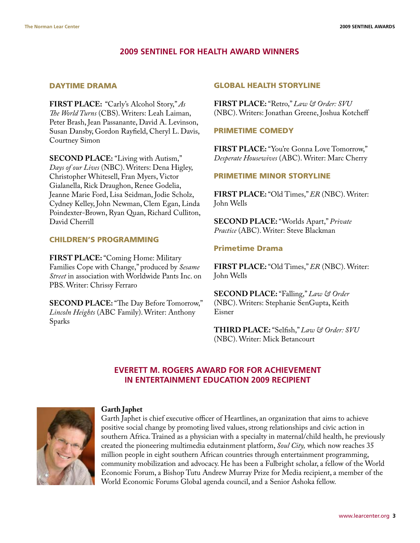#### **2009 SENTINEL FOR HEALTH AWARD WINNERS**

#### DAYTIME DRAMA

**FIRST PLACE:** "Carly's Alcohol Story," *As The World Turns* (CBS). Writers: Leah Laiman, Peter Brash, Jean Passanante, David A. Levinson, Susan Dansby, Gordon Rayfield, Cheryl L. Davis, Courtney Simon

**SECOND PLACE:** "Living with Autism," *Days of our Lives* (NBC). Writers: Dena Higley, Christopher Whitesell, Fran Myers, Victor Gialanella, Rick Draughon, Renee Godelia, Jeanne Marie Ford, Lisa Seidman, Jodie Scholz, Cydney Kelley, John Newman, Clem Egan, Linda Poindexter-Brown, Ryan Quan, Richard Culliton, David Cherrill

#### CHILDREN'S PROGRAMMING

**FIRST PLACE:** "Coming Home: Military Families Cope with Change," produced by *Sesame Street* in association with Worldwide Pants Inc. on PBS. Writer: Chrissy Ferraro

**SECOND PLACE:** "The Day Before Tomorrow," *Lincoln Heights* (ABC Family). Writer: Anthony Sparks

#### GLOBAL HEALTH STORYLINE

**FIRST PLACE:** "Retro," *Law & Order: SVU* (NBC). Writers: Jonathan Greene, Joshua Kotcheff

#### PRIMETIME COMEDY

**FIRST PLACE:** "You're Gonna Love Tomorrow," *Desperate Housewives* (ABC). Writer: Marc Cherry

#### PRIMETIME MINOR STORYLINE

**FIRST PLACE:** "Old Times," *ER* (NBC). Writer: John Wells

**SECOND PLACE:** "Worlds Apart," *Private Practice* (ABC). Writer: Steve Blackman

#### Primetime Drama

**FIRST PLACE:** "Old Times," *ER* (NBC). Writer: John Wells

**SECOND PLACE:** "Falling," *Law & Order* (NBC). Writers: Stephanie SenGupta, Keith Eisner

**THIRD PLACE:** "Selfish," *Law & Order: SVU* (NBC). Writer: Mick Betancourt

#### **EVERETT M. ROGERS AWARD FOR FOR ACHIEVEMENT IN ENTERTAINMENT EDUCATION 2009 RECIPIENT**



#### **Garth Japhet**

Garth Japhet is chief executive officer of Heartlines, an organization that aims to achieve positive social change by promoting lived values, strong relationships and civic action in southern Africa. Trained as a physician with a specialty in maternal/child health, he previously created the pioneering multimedia edutainment platform, *Soul City,* which now reaches 35 million people in eight southern African countries through entertainment programming, community mobilization and advocacy. He has been a Fulbright scholar, a fellow of the World Economic Forum, a Bishop Tutu Andrew Murray Prize for Media recipient, a member of the World Economic Forums Global agenda council, and a Senior Ashoka fellow.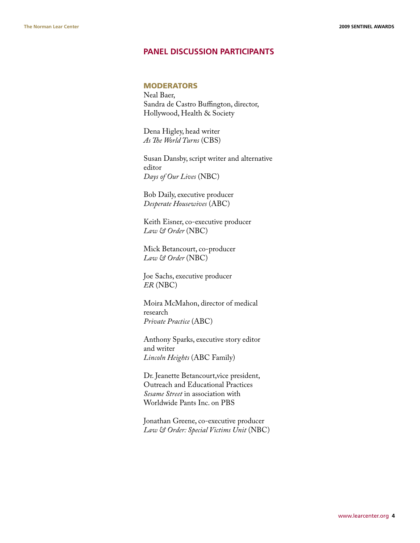#### **PANEL DISCUSSION PARTICIPANTS**

#### **MODERATORS**

Neal Baer, Sandra de Castro Buffington, director, Hollywood, Health & Society

Dena Higley, head writer *As The World Turns* (CBS)

Susan Dansby, script writer and alternative editor *Days of Our Lives* (NBC)

Bob Daily, executive producer *Desperate Housewives* (ABC)

Keith Eisner, co-executive producer *Law & Order* (NBC)

Mick Betancourt, co-producer *Law & Order* (NBC)

Joe Sachs, executive producer *ER* (NBC)

Moira McMahon, director of medical research *Private Practice* (ABC)

Anthony Sparks, executive story editor and writer *Lincoln Heights* (ABC Family)

Dr. Jeanette Betancourt,vice president, Outreach and Educational Practices *Sesame Street* in association with Worldwide Pants Inc. on PBS

Jonathan Greene, co-executive producer *Law & Order: Special Victims Unit* (NBC)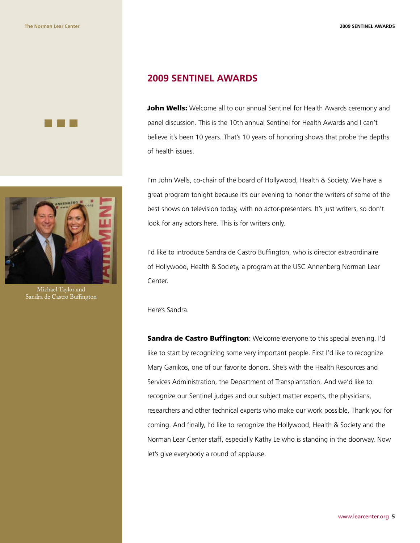



Michael Taylor and Sandra de Castro Buffington

#### **2009 SENTINEL AWARDS**

John Wells: Welcome all to our annual Sentinel for Health Awards ceremony and panel discussion. This is the 10th annual Sentinel for Health Awards and I can't believe it's been 10 years. That's 10 years of honoring shows that probe the depths of health issues.

I'm John Wells, co-chair of the board of Hollywood, Health & Society. We have a great program tonight because it's our evening to honor the writers of some of the best shows on television today, with no actor-presenters. It's just writers, so don't look for any actors here. This is for writers only.

I'd like to introduce Sandra de Castro Buffington, who is director extraordinaire of Hollywood, Health & Society, a program at the USC Annenberg Norman Lear Center.

Here's Sandra.

Sandra de Castro Buffington: Welcome everyone to this special evening. I'd like to start by recognizing some very important people. First I'd like to recognize Mary Ganikos, one of our favorite donors. She's with the Health Resources and Services Administration, the Department of Transplantation. And we'd like to recognize our Sentinel judges and our subject matter experts, the physicians, researchers and other technical experts who make our work possible. Thank you for coming. And finally, I'd like to recognize the Hollywood, Health & Society and the Norman Lear Center staff, especially Kathy Le who is standing in the doorway. Now let's give everybody a round of applause.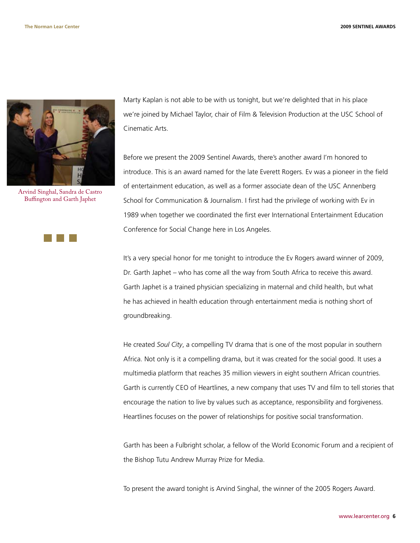

Arvind Singhal, Sandra de Castro Buffington and Garth Japhet



Marty Kaplan is not able to be with us tonight, but we're delighted that in his place we're joined by Michael Taylor, chair of Film & Television Production at the USC School of Cinematic Arts.

Before we present the 2009 Sentinel Awards, there's another award I'm honored to introduce. This is an award named for the late Everett Rogers. Ev was a pioneer in the field of entertainment education, as well as a former associate dean of the USC Annenberg School for Communication & Journalism. I first had the privilege of working with Ev in 1989 when together we coordinated the first ever International Entertainment Education Conference for Social Change here in Los Angeles.

It's a very special honor for me tonight to introduce the Ev Rogers award winner of 2009, Dr. Garth Japhet – who has come all the way from South Africa to receive this award. Garth Japhet is a trained physician specializing in maternal and child health, but what he has achieved in health education through entertainment media is nothing short of groundbreaking.

He created *Soul City*, a compelling TV drama that is one of the most popular in southern Africa. Not only is it a compelling drama, but it was created for the social good. It uses a multimedia platform that reaches 35 million viewers in eight southern African countries. Garth is currently CEO of Heartlines, a new company that uses TV and film to tell stories that encourage the nation to live by values such as acceptance, responsibility and forgiveness. Heartlines focuses on the power of relationships for positive social transformation.

Garth has been a Fulbright scholar, a fellow of the World Economic Forum and a recipient of the Bishop Tutu Andrew Murray Prize for Media.

To present the award tonight is Arvind Singhal, the winner of the 2005 Rogers Award.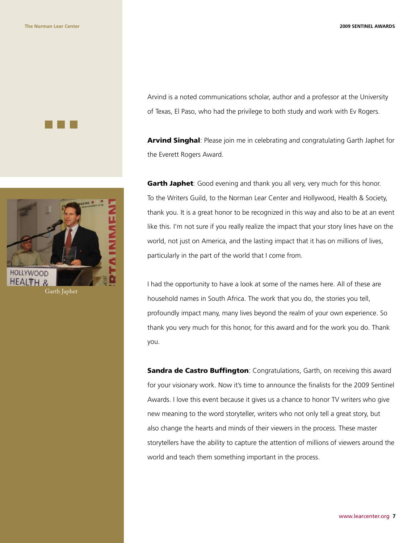



Arvind is a noted communications scholar, author and a professor at the University of Texas, El Paso, who had the privilege to both study and work with Ev Rogers.

**Arvind Singhal:** Please join me in celebrating and congratulating Garth Japhet for the Everett Rogers Award.

Garth Japhet: Good evening and thank you all very, very much for this honor. To the Writers Guild, to the Norman Lear Center and Hollywood, Health & Society, thank you. It is a great honor to be recognized in this way and also to be at an event like this. I'm not sure if you really realize the impact that your story lines have on the world, not just on America, and the lasting impact that it has on millions of lives, particularly in the part of the world that I come from.

I had the opportunity to have a look at some of the names here. All of these are household names in South Africa. The work that you do, the stories you tell, profoundly impact many, many lives beyond the realm of your own experience. So thank you very much for this honor, for this award and for the work you do. Thank you.

**Sandra de Castro Buffington:** Congratulations, Garth, on receiving this award for your visionary work. Now it's time to announce the finalists for the 2009 Sentinel Awards. I love this event because it gives us a chance to honor TV writers who give new meaning to the word storyteller, writers who not only tell a great story, but also change the hearts and minds of their viewers in the process. These master storytellers have the ability to capture the attention of millions of viewers around the world and teach them something important in the process.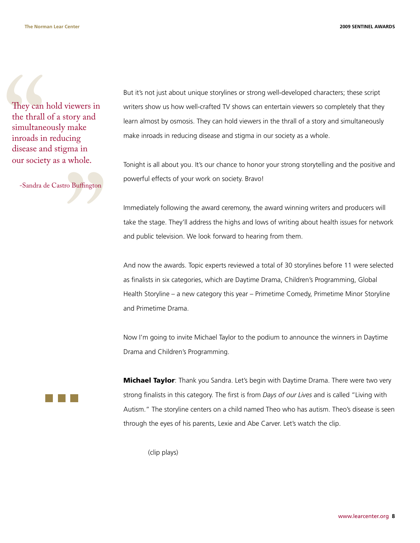They can<br>the thrall<br>simultane<br>inroads in<br>disease ar<br>our societ<br>-Sandra d They can hold viewers in the thrall of a story and simultaneously make inroads in reducing disease and stigma in our society as a whole.

" -Sandra de Castro Buffington

But it's not just about unique storylines or strong well-developed characters; these script writers show us how well-crafted TV shows can entertain viewers so completely that they learn almost by osmosis. They can hold viewers in the thrall of a story and simultaneously make inroads in reducing disease and stigma in our society as a whole.

Tonight is all about you. It's our chance to honor your strong storytelling and the positive and powerful effects of your work on society. Bravo!

Immediately following the award ceremony, the award winning writers and producers will take the stage. They'll address the highs and lows of writing about health issues for network and public television. We look forward to hearing from them.

And now the awards. Topic experts reviewed a total of 30 storylines before 11 were selected as finalists in six categories, which are Daytime Drama, Children's Programming, Global Health Storyline – a new category this year – Primetime Comedy, Primetime Minor Storyline and Primetime Drama.

Now I'm going to invite Michael Taylor to the podium to announce the winners in Daytime Drama and Children's Programming.

**Michael Taylor**: Thank you Sandra. Let's begin with Daytime Drama. There were two very strong finalists in this category. The first is from *Days of our Lives* and is called "Living with Autism." The storyline centers on a child named Theo who has autism. Theo's disease is seen through the eyes of his parents, Lexie and Abe Carver. Let's watch the clip.

(clip plays)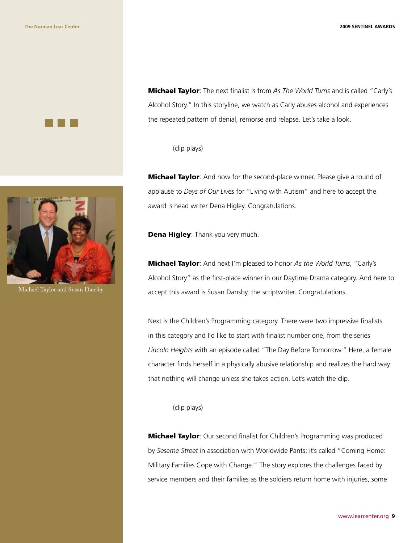



Michael Taylor and Susan Dansby

Michael Taylor: The next finalist is from *As The World Turns* and is called "Carly's Alcohol Story." In this storyline, we watch as Carly abuses alcohol and experiences the repeated pattern of denial, remorse and relapse. Let's take a look.

(clip plays)

**Michael Taylor**: And now for the second-place winner. Please give a round of applause to *Days of Our Lives* for "Living with Autism" and here to accept the award is head writer Dena Higley. Congratulations.

**Dena Higley: Thank you very much.** 

Michael Taylor: And next I'm pleased to honor *As the World Turns*, "Carly's Alcohol Story" as the first-place winner in our Daytime Drama category. And here to accept this award is Susan Dansby, the scriptwriter. Congratulations.

Next is the Children's Programming category. There were two impressive finalists in this category and I'd like to start with finalist number one, from the series *Lincoln Heights* with an episode called "The Day Before Tomorrow." Here, a female character finds herself in a physically abusive relationship and realizes the hard way that nothing will change unless she takes action. Let's watch the clip.

(clip plays)

**Michael Taylor**: Our second finalist for Children's Programming was produced by *Sesame Street* in association with Worldwide Pants; it's called "Coming Home: Military Families Cope with Change." The story explores the challenges faced by service members and their families as the soldiers return home with injuries, some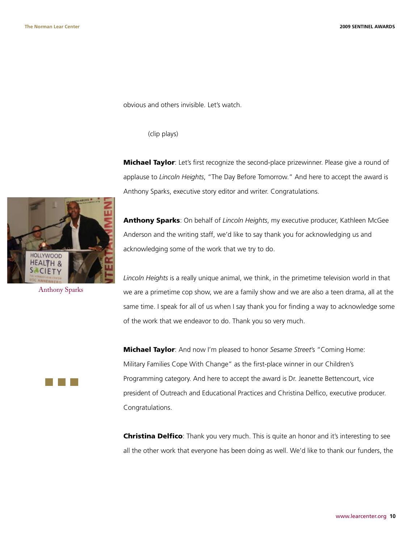obvious and others invisible. Let's watch.

(clip plays)

**Michael Taylor**: Let's first recognize the second-place prizewinner. Please give a round of applause to *Lincoln Heights*, "The Day Before Tomorrow." And here to accept the award is Anthony Sparks, executive story editor and writer. Congratulations.

HOLLYWOOD HEALTH &

Anthony Sparks

Anthony Sparks: On behalf of *Lincoln Heights*, my executive producer, Kathleen McGee Anderson and the writing staff, we'd like to say thank you for acknowledging us and acknowledging some of the work that we try to do.

*Lincoln Heights* is a really unique animal, we think, in the primetime television world in that we are a primetime cop show, we are a family show and we are also a teen drama, all at the same time. I speak for all of us when I say thank you for finding a way to acknowledge some of the work that we endeavor to do. Thank you so very much.

Michael Taylor: And now I'm pleased to honor *Sesame Street*'s "Coming Home: Military Families Cope With Change" as the first-place winner in our Children's Programming category. And here to accept the award is Dr. Jeanette Bettencourt, vice president of Outreach and Educational Practices and Christina Delfico, executive producer. Congratulations.

**Christina Delfico**: Thank you very much. This is quite an honor and it's interesting to see all the other work that everyone has been doing as well. We'd like to thank our funders, the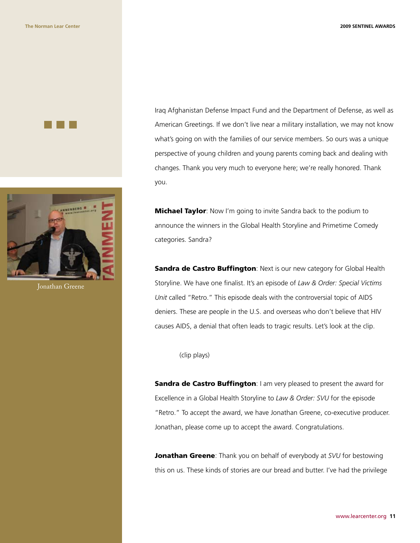



Jonathan Greene

Iraq Afghanistan Defense Impact Fund and the Department of Defense, as well as American Greetings. If we don't live near a military installation, we may not know what's going on with the families of our service members. So ours was a unique perspective of young children and young parents coming back and dealing with changes. Thank you very much to everyone here; we're really honored. Thank you.

**Michael Taylor**: Now I'm going to invite Sandra back to the podium to announce the winners in the Global Health Storyline and Primetime Comedy categories. Sandra?

**Sandra de Castro Buffington: Next is our new category for Global Health** Storyline. We have one finalist. It's an episode of *Law & Order: Special Victims Unit* called "Retro." This episode deals with the controversial topic of AIDS deniers. These are people in the U.S. and overseas who don't believe that HIV causes AIDS, a denial that often leads to tragic results. Let's look at the clip.

(clip plays)

Sandra de Castro Buffington: I am very pleased to present the award for Excellence in a Global Health Storyline to *Law & Order: SVU* for the episode "Retro." To accept the award, we have Jonathan Greene, co-executive producer. Jonathan, please come up to accept the award. Congratulations.

**Jonathan Greene**: Thank you on behalf of everybody at *SVU* for bestowing this on us. These kinds of stories are our bread and butter. I've had the privilege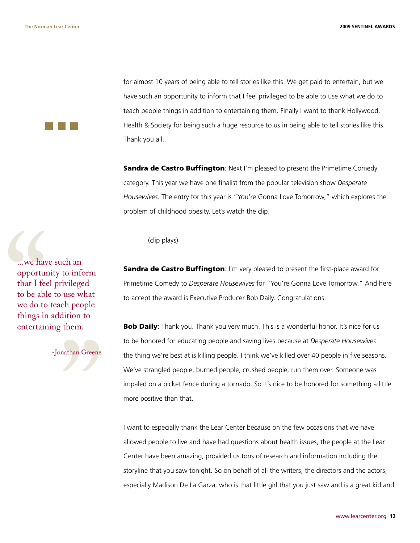for almost 10 years of being able to tell stories like this. We get paid to entertain, but we have such an opportunity to inform that I feel privileged to be able to use what we do to teach people things in addition to entertaining them. Finally I want to thank Hollywood, Health & Society for being such a huge resource to us in being able to tell stories like this. Thank you all.

**Sandra de Castro Buffington:** Next I'm pleased to present the Primetime Comedy category. This year we have one finalist from the popular television show *Desperate Housewives*. The entry for this year is "You're Gonna Love Tomorrow," which explores the problem of childhood obesity. Let's watch the clip.

(clip plays)

**Sandra de Castro Buffington:** I'm very pleased to present the first-place award for Primetime Comedy to *Desperate Housewives* for "You're Gonna Love Tomorrow." And here to accept the award is Executive Producer Bob Daily. Congratulations.

**Bob Daily**: Thank you. Thank you very much. This is a wonderful honor. It's nice for us to be honored for educating people and saving lives because at *Desperate Housewives*  the thing we're best at is killing people. I think we've killed over 40 people in five seasons. We've strangled people, burned people, crushed people, run them over. Someone was impaled on a picket fence during a tornado. So it's nice to be honored for something a little more positive than that.

I want to especially thank the Lear Center because on the few occasions that we have allowed people to live and have had questions about health issues, the people at the Lear Center have been amazing, provided us tons of research and information including the storyline that you saw tonight. So on behalf of all the writers, the directors and the actors, especially Madison De La Garza, who is that little girl that you just saw and is a great kid and

...we have<br>opporture that I feed<br>to be able we do to<br>things in entertain ...we have such an opportunity to inform that I feel privileged to be able to use what we do to teach people things in addition to entertaining them.

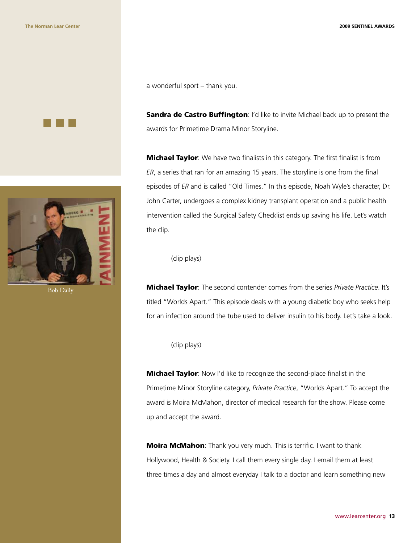



Bob Daily

a wonderful sport – thank you.

Sandra de Castro Buffington: I'd like to invite Michael back up to present the awards for Primetime Drama Minor Storyline.

**Michael Taylor**: We have two finalists in this category. The first finalist is from *ER*, a series that ran for an amazing 15 years. The storyline is one from the final episodes of *ER* and is called "Old Times." In this episode, Noah Wyle's character, Dr. John Carter, undergoes a complex kidney transplant operation and a public health intervention called the Surgical Safety Checklist ends up saving his life. Let's watch the clip.

(clip plays)

Michael Taylor: The second contender comes from the series *Private Practice*. It's titled "Worlds Apart." This episode deals with a young diabetic boy who seeks help for an infection around the tube used to deliver insulin to his body. Let's take a look.

(clip plays)

**Michael Taylor**: Now I'd like to recognize the second-place finalist in the Primetime Minor Storyline category, *Private Practice*, "Worlds Apart." To accept the award is Moira McMahon, director of medical research for the show. Please come up and accept the award.

**Moira McMahon**: Thank you very much. This is terrific. I want to thank Hollywood, Health & Society. I call them every single day. I email them at least three times a day and almost everyday I talk to a doctor and learn something new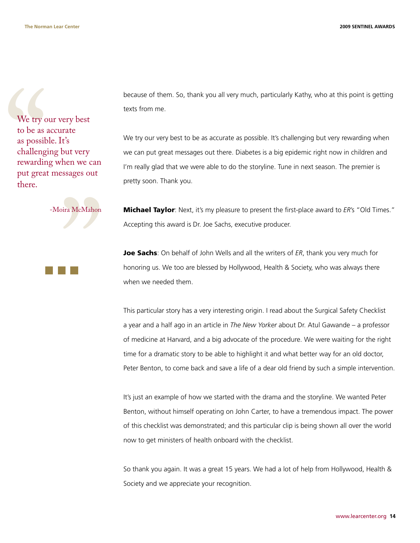We try of<br>to be as a<br>as possib<br>challeng:<br>rewardin<br>put great<br>there. We try our very best to be as accurate as possible. It's challenging but very rewarding when we can put great messages out there.

"<br>"<br>" -Moira McMahon

because of them. So, thank you all very much, particularly Kathy, who at this point is getting texts from me.

We try our very best to be as accurate as possible. It's challenging but very rewarding when we can put great messages out there. Diabetes is a big epidemic right now in children and I'm really glad that we were able to do the storyline. Tune in next season. The premier is pretty soon. Thank you.

**Michael Taylor**: Next, it's my pleasure to present the first-place award to *ER's* "Old Times." Accepting this award is Dr. Joe Sachs, executive producer.

Joe Sachs: On behalf of John Wells and all the writers of *ER*, thank you very much for honoring us. We too are blessed by Hollywood, Health & Society, who was always there when we needed them.

This particular story has a very interesting origin. I read about the Surgical Safety Checklist a year and a half ago in an article in *The New Yorker* about Dr. Atul Gawande – a professor of medicine at Harvard, and a big advocate of the procedure. We were waiting for the right time for a dramatic story to be able to highlight it and what better way for an old doctor, Peter Benton, to come back and save a life of a dear old friend by such a simple intervention.

It's just an example of how we started with the drama and the storyline. We wanted Peter Benton, without himself operating on John Carter, to have a tremendous impact. The power of this checklist was demonstrated; and this particular clip is being shown all over the world now to get ministers of health onboard with the checklist.

So thank you again. It was a great 15 years. We had a lot of help from Hollywood, Health & Society and we appreciate your recognition.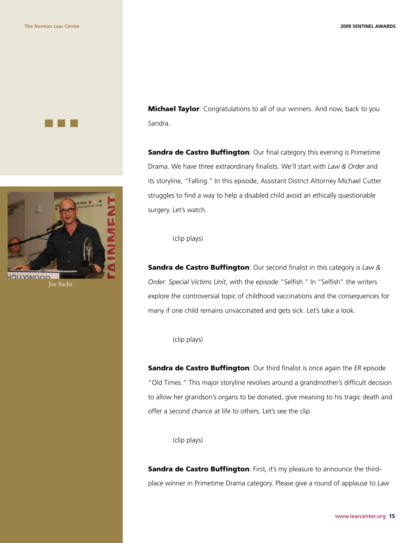



**Sandra de Castro Buffington:** Our final category this evening is Primetime Drama. We have three extraordinary finalists. We'll start with *Law & Order* and its storyline, "Falling." In this episode, Assistant District Attorney Michael Cutter struggles to find a way to help a disabled child avoid an ethically questionable surgery. Let's watch.

(clip plays)

Sandra de Castro Buffington: Our second finalist in this category is *Law & Order: Special Victims Unit*, with the episode "Selfish." In "Selfish" the writers explore the controversial topic of childhood vaccinations and the consequences for many if one child remains unvaccinated and gets sick. Let's take a look.

(clip plays)

Sandra de Castro Buffington: Our third finalist is once again the *ER* episode "Old Times." This major storyline revolves around a grandmother's difficult decision to allow her grandson's organs to be donated, give meaning to his tragic death and offer a second chance at life to others. Let's see the clip.

(clip plays)

Sandra de Castro Buffington: First, it's my pleasure to announce the thirdplace winner in Primetime Drama category. Please give a round of applause to *Law* 



Joe Sachs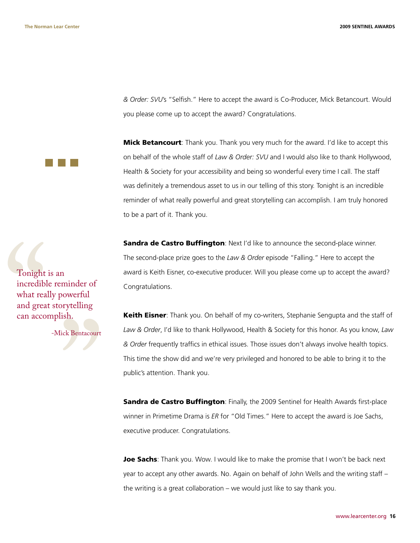*& Order: SVU*'s "Selfish." Here to accept the award is Co-Producer, Mick Betancourt. Would you please come up to accept the award? Congratulations.

**Mick Betancourt**: Thank you. Thank you very much for the award. I'd like to accept this on behalf of the whole staff of *Law & Order: SVU* and I would also like to thank Hollywood, Health & Society for your accessibility and being so wonderful every time I call. The staff was definitely a tremendous asset to us in our telling of this story. Tonight is an incredible reminder of what really powerful and great storytelling can accomplish. I am truly honored to be a part of it. Thank you.

**Sandra de Castro Buffington:** Next I'd like to announce the second-place winner. The second-place prize goes to the *Law & Order* episode "Falling." Here to accept the award is Keith Eisner, co-executive producer. Will you please come up to accept the award? Congratulations.

**Keith Eisner:** Thank you. On behalf of my co-writers, Stephanie Sengupta and the staff of *Law & Order*, I'd like to thank Hollywood, Health & Society for this honor. As you know, *Law & Order* frequently traffics in ethical issues. Those issues don't always involve health topics. This time the show did and we're very privileged and honored to be able to bring it to the public's attention. Thank you.

**Sandra de Castro Buffington**: Finally, the 2009 Sentinel for Health Awards first-place winner in Primetime Drama is *ER* for "Old Times." Here to accept the award is Joe Sachs, executive producer. Congratulations.

Joe Sachs: Thank you. Wow. I would like to make the promise that I won't be back next year to accept any other awards. No. Again on behalf of John Wells and the writing staff – the writing is a great collaboration – we would just like to say thank you.

Tonight<br>incredibl<br>what rea<br>and grea<br>can acco. Tonight is an incredible reminder of what really powerful and great storytelling can accomplish.

" -Mick Bentacourt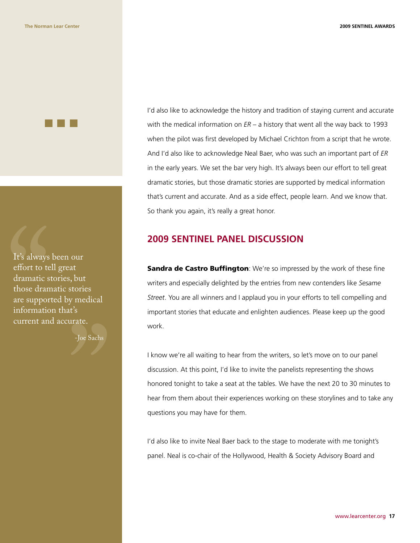It's always<br>effort to te<br>dramatic s<br>those dran<br>are suppor<br>informatic<br>current an It's always been our effort to tell great dramatic stories, but those dramatic stories are supported by medical information that's current and accurate.

" -Joe Sachs

I'd also like to acknowledge the history and tradition of staying current and accurate with the medical information on *ER* – a history that went all the way back to 1993 when the pilot was first developed by Michael Crichton from a script that he wrote. And I'd also like to acknowledge Neal Baer, who was such an important part of *ER* in the early years. We set the bar very high. It's always been our effort to tell great dramatic stories, but those dramatic stories are supported by medical information that's current and accurate. And as a side effect, people learn. And we know that. So thank you again, it's really a great honor.

#### **2009 SENTINEL PANEL DISCUSSION**

**Sandra de Castro Buffington**: We're so impressed by the work of these fine writers and especially delighted by the entries from new contenders like *Sesame Street*. You are all winners and I applaud you in your efforts to tell compelling and important stories that educate and enlighten audiences. Please keep up the good work.

I know we're all waiting to hear from the writers, so let's move on to our panel discussion. At this point, I'd like to invite the panelists representing the shows honored tonight to take a seat at the tables. We have the next 20 to 30 minutes to hear from them about their experiences working on these storylines and to take any questions you may have for them.

I'd also like to invite Neal Baer back to the stage to moderate with me tonight's panel. Neal is co-chair of the Hollywood, Health & Society Advisory Board and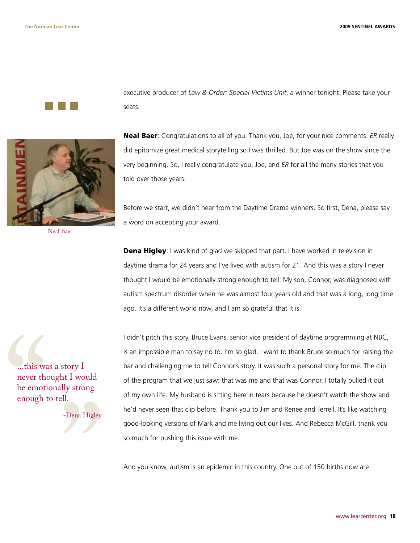

Neal Baer

this was<br>
never the<br>
be emotic<br>
enough t ...this was a story I never thought I would be emotionally strong enough to tell.

" -Dena Higley

executive producer of *Law & Order: Special Victims Unit*, a winner tonight. Please take your seats.

Neal Baer: Congratulations to all of you. Thank you, Joe, for your nice comments. *ER* really did epitomize great medical storytelling so I was thrilled. But Joe was on the show since the very beginning. So, I really congratulate you, Joe, and *ER* for all the many stories that you told over those years.

Before we start, we didn't hear from the Daytime Drama winners. So first, Dena, please say a word on accepting your award.

**Dena Higley**: I was kind of glad we skipped that part. I have worked in television in daytime drama for 24 years and I've lived with autism for 21. And this was a story I never thought I would be emotionally strong enough to tell. My son, Connor, was diagnosed with autism spectrum disorder when he was almost four years old and that was a long, long time ago. It's a different world now, and I am so grateful that it is.

I didn't pitch this story. Bruce Evans, senior vice president of daytime programming at NBC, is an impossible man to say no to. I'm so glad. I want to thank Bruce so much for raising the bar and challenging me to tell Connor's story. It was such a personal story for me. The clip of the program that we just saw: that was me and that was Connor. I totally pulled it out of my own life. My husband is sitting here in tears because he doesn't watch the show and he'd never seen that clip before. Thank you to Jim and Renee and Terrell. It's like watching good-looking versions of Mark and me living out our lives. And Rebecca McGill, thank you so much for pushing this issue with me.

And you know, autism is an epidemic in this country. One out of 150 births now are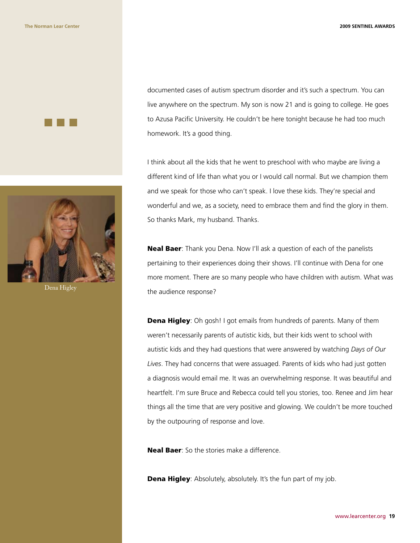



Dena Higley

documented cases of autism spectrum disorder and it's such a spectrum. You can live anywhere on the spectrum. My son is now 21 and is going to college. He goes to Azusa Pacific University. He couldn't be here tonight because he had too much homework. It's a good thing.

I think about all the kids that he went to preschool with who maybe are living a different kind of life than what you or I would call normal. But we champion them and we speak for those who can't speak. I love these kids. They're special and wonderful and we, as a society, need to embrace them and find the glory in them. So thanks Mark, my husband. Thanks.

Neal Baer: Thank you Dena. Now I'll ask a question of each of the panelists pertaining to their experiences doing their shows. I'll continue with Dena for one more moment. There are so many people who have children with autism. What was the audience response?

**Dena Higley:** Oh gosh! I got emails from hundreds of parents. Many of them weren't necessarily parents of autistic kids, but their kids went to school with autistic kids and they had questions that were answered by watching *Days of Our Lives*. They had concerns that were assuaged. Parents of kids who had just gotten a diagnosis would email me. It was an overwhelming response. It was beautiful and heartfelt. I'm sure Bruce and Rebecca could tell you stories, too. Renee and Jim hear things all the time that are very positive and glowing. We couldn't be more touched by the outpouring of response and love.

**Neal Baer:** So the stories make a difference.

**Dena Higley:** Absolutely, absolutely. It's the fun part of my job.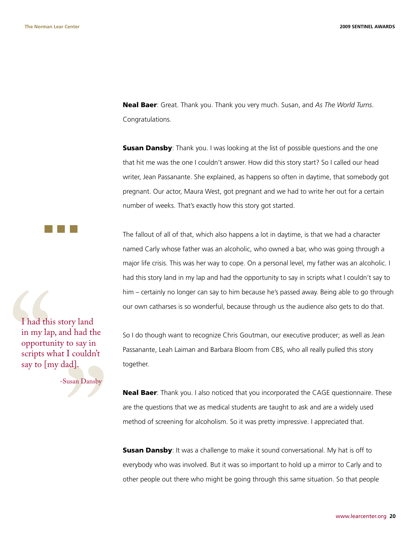Neal Baer: Great. Thank you. Thank you very much. Susan, and *As The World Turns*. Congratulations.

**Susan Dansby**: Thank you. I was looking at the list of possible questions and the one that hit me was the one I couldn't answer. How did this story start? So I called our head writer, Jean Passanante. She explained, as happens so often in daytime, that somebody got pregnant. Our actor, Maura West, got pregnant and we had to write her out for a certain number of weeks. That's exactly how this story got started.

The fallout of all of that, which also happens a lot in daytime, is that we had a character named Carly whose father was an alcoholic, who owned a bar, who was going through a major life crisis. This was her way to cope. On a personal level, my father was an alcoholic. I had this story land in my lap and had the opportunity to say in scripts what I couldn't say to him – certainly no longer can say to him because he's passed away. Being able to go through our own catharses is so wonderful, because through us the audience also gets to do that.

So I do though want to recognize Chris Goutman, our executive producer; as well as Jean Passanante, Leah Laiman and Barbara Bloom from CBS, who all really pulled this story together.

**Neal Baer**: Thank you. I also noticed that you incorporated the CAGE questionnaire. These are the questions that we as medical students are taught to ask and are a widely used method of screening for alcoholism. So it was pretty impressive. I appreciated that.

**Susan Dansby:** It was a challenge to make it sound conversational. My hat is off to everybody who was involved. But it was so important to hold up a mirror to Carly and to other people out there who might be going through this same situation. So that people

I had thi<br>
in my lap<br>
opportur<br>
scripts w<br>
say to [m I had this story land in my lap, and had the opportunity to say in scripts what I couldn't say to [my dad].

France -Susan Dansby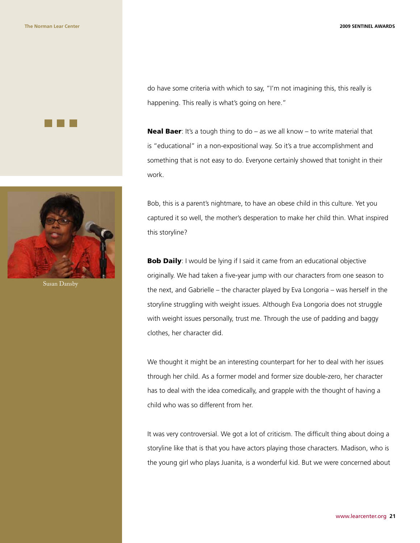



Susan Dansby

do have some criteria with which to say, "I'm not imagining this, this really is happening. This really is what's going on here."

**Neal Baer:** It's a tough thing to do – as we all know – to write material that is "educational" in a non-expositional way. So it's a true accomplishment and something that is not easy to do. Everyone certainly showed that tonight in their work.

Bob, this is a parent's nightmare, to have an obese child in this culture. Yet you captured it so well, the mother's desperation to make her child thin. What inspired this storyline?

**Bob Daily:** I would be lying if I said it came from an educational objective originally. We had taken a five-year jump with our characters from one season to the next, and Gabrielle – the character played by Eva Longoria – was herself in the storyline struggling with weight issues. Although Eva Longoria does not struggle with weight issues personally, trust me. Through the use of padding and baggy clothes, her character did.

We thought it might be an interesting counterpart for her to deal with her issues through her child. As a former model and former size double-zero, her character has to deal with the idea comedically, and grapple with the thought of having a child who was so different from her.

It was very controversial. We got a lot of criticism. The difficult thing about doing a storyline like that is that you have actors playing those characters. Madison, who is the young girl who plays Juanita, is a wonderful kid. But we were concerned about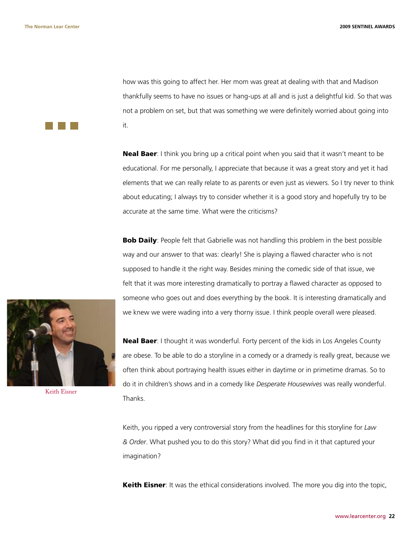how was this going to affect her. Her mom was great at dealing with that and Madison thankfully seems to have no issues or hang-ups at all and is just a delightful kid. So that was not a problem on set, but that was something we were definitely worried about going into it.

**Neal Baer:** I think you bring up a critical point when you said that it wasn't meant to be educational. For me personally, I appreciate that because it was a great story and yet it had elements that we can really relate to as parents or even just as viewers. So I try never to think about educating; I always try to consider whether it is a good story and hopefully try to be accurate at the same time. What were the criticisms?

**Bob Daily**: People felt that Gabrielle was not handling this problem in the best possible way and our answer to that was: clearly! She is playing a flawed character who is not supposed to handle it the right way. Besides mining the comedic side of that issue, we felt that it was more interesting dramatically to portray a flawed character as opposed to someone who goes out and does everything by the book. It is interesting dramatically and we knew we were wading into a very thorny issue. I think people overall were pleased.

Neal Baer: I thought it was wonderful. Forty percent of the kids in Los Angeles County are obese. To be able to do a storyline in a comedy or a dramedy is really great, because we often think about portraying health issues either in daytime or in primetime dramas. So to do it in children's shows and in a comedy like *Desperate Housewives* was really wonderful. Thanks.

Keith, you ripped a very controversial story from the headlines for this storyline for *Law & Order*. What pushed you to do this story? What did you find in it that captured your imagination?

**Keith Eisner**: It was the ethical considerations involved. The more you dig into the topic,



Keith Eisner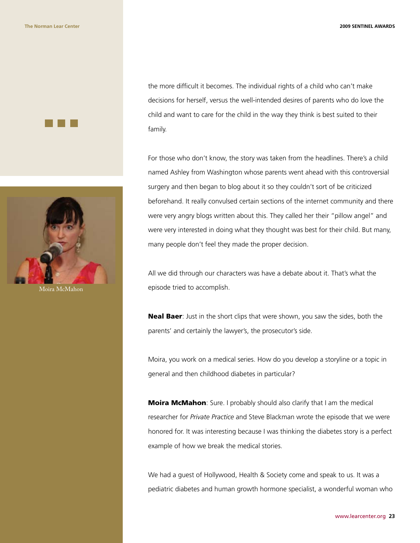



Moira McMahon

the more difficult it becomes. The individual rights of a child who can't make decisions for herself, versus the well-intended desires of parents who do love the child and want to care for the child in the way they think is best suited to their family.

For those who don't know, the story was taken from the headlines. There's a child named Ashley from Washington whose parents went ahead with this controversial surgery and then began to blog about it so they couldn't sort of be criticized beforehand. It really convulsed certain sections of the internet community and there were very angry blogs written about this. They called her their "pillow angel" and were very interested in doing what they thought was best for their child. But many, many people don't feel they made the proper decision.

All we did through our characters was have a debate about it. That's what the episode tried to accomplish.

Neal Baer: Just in the short clips that were shown, you saw the sides, both the parents' and certainly the lawyer's, the prosecutor's side.

Moira, you work on a medical series. How do you develop a storyline or a topic in general and then childhood diabetes in particular?

**Moira McMahon**: Sure. I probably should also clarify that I am the medical researcher for *Private Practice* and Steve Blackman wrote the episode that we were honored for. It was interesting because I was thinking the diabetes story is a perfect example of how we break the medical stories.

We had a guest of Hollywood, Health & Society come and speak to us. It was a pediatric diabetes and human growth hormone specialist, a wonderful woman who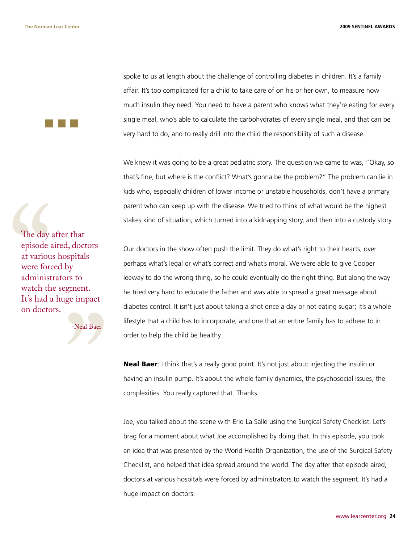spoke to us at length about the challenge of controlling diabetes in children. It's a family affair. It's too complicated for a child to take care of on his or her own, to measure how much insulin they need. You need to have a parent who knows what they're eating for every single meal, who's able to calculate the carbohydrates of every single meal, and that can be very hard to do, and to really drill into the child the responsibility of such a disease.

We knew it was going to be a great pediatric story. The question we came to was, "Okay, so that's fine, but where is the conflict? What's gonna be the problem?" The problem can lie in kids who, especially children of lower income or unstable households, don't have a primary parent who can keep up with the disease. We tried to think of what would be the highest stakes kind of situation, which turned into a kidnapping story, and then into a custody story.

Our doctors in the show often push the limit. They do what's right to their hearts, over perhaps what's legal or what's correct and what's moral. We were able to give Cooper leeway to do the wrong thing, so he could eventually do the right thing. But along the way he tried very hard to educate the father and was able to spread a great message about diabetes control. It isn't just about taking a shot once a day or not eating sugar; it's a whole lifestyle that a child has to incorporate, and one that an entire family has to adhere to in order to help the child be healthy.

**Neal Baer**: I think that's a really good point. It's not just about injecting the insulin or having an insulin pump. It's about the whole family dynamics, the psychosocial issues, the complexities. You really captured that. Thanks.

Joe, you talked about the scene with Eriq La Salle using the Surgical Safety Checklist. Let's brag for a moment about what Joe accomplished by doing that. In this episode, you took an idea that was presented by the World Health Organization, the use of the Surgical Safety Checklist, and helped that idea spread around the world. The day after that episode aired, doctors at various hospitals were forced by administrators to watch the segment. It's had a huge impact on doctors.

The day<br>episode a<br>at variou<br>were force<br>administ<br>watch th<br>It's had a<br>on docto The day after that episode aired, doctors at various hospitals were forced by administrators to watch the segment. It's had a huge impact on doctors.

" -Neal Baer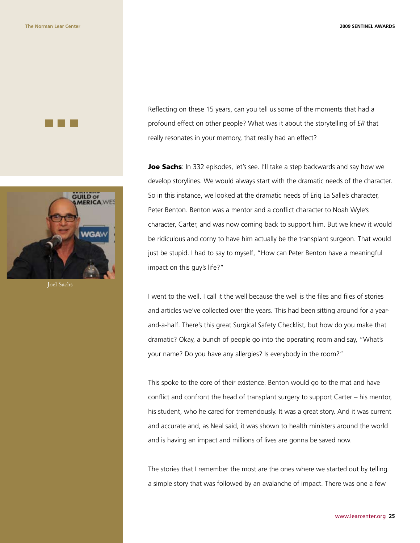



Joel Sachs

Reflecting on these 15 years, can you tell us some of the moments that had a profound effect on other people? What was it about the storytelling of *ER* that really resonates in your memory, that really had an effect?

Joe Sachs: In 332 episodes, let's see. I'll take a step backwards and say how we develop storylines. We would always start with the dramatic needs of the character. So in this instance, we looked at the dramatic needs of Eriq La Salle's character, Peter Benton. Benton was a mentor and a conflict character to Noah Wyle's character, Carter, and was now coming back to support him. But we knew it would be ridiculous and corny to have him actually be the transplant surgeon. That would just be stupid. I had to say to myself, "How can Peter Benton have a meaningful impact on this guy's life?"

I went to the well. I call it the well because the well is the files and files of stories and articles we've collected over the years. This had been sitting around for a yearand-a-half. There's this great Surgical Safety Checklist, but how do you make that dramatic? Okay, a bunch of people go into the operating room and say, "What's your name? Do you have any allergies? Is everybody in the room?"

This spoke to the core of their existence. Benton would go to the mat and have conflict and confront the head of transplant surgery to support Carter – his mentor, his student, who he cared for tremendously. It was a great story. And it was current and accurate and, as Neal said, it was shown to health ministers around the world and is having an impact and millions of lives are gonna be saved now.

The stories that I remember the most are the ones where we started out by telling a simple story that was followed by an avalanche of impact. There was one a few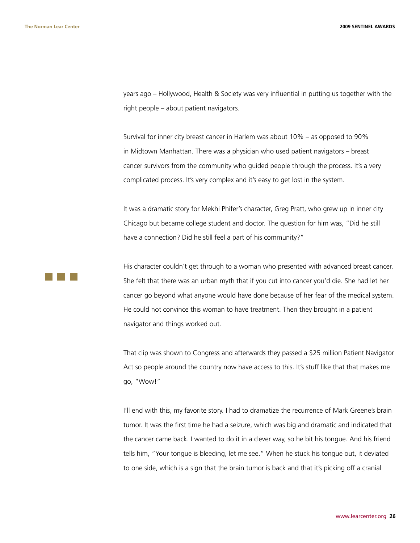years ago – Hollywood, Health & Society was very influential in putting us together with the right people – about patient navigators.

Survival for inner city breast cancer in Harlem was about 10% – as opposed to 90% in Midtown Manhattan. There was a physician who used patient navigators – breast cancer survivors from the community who guided people through the process. It's a very complicated process. It's very complex and it's easy to get lost in the system.

It was a dramatic story for Mekhi Phifer's character, Greg Pratt, who grew up in inner city Chicago but became college student and doctor. The question for him was, "Did he still have a connection? Did he still feel a part of his community?"

His character couldn't get through to a woman who presented with advanced breast cancer. She felt that there was an urban myth that if you cut into cancer you'd die. She had let her cancer go beyond what anyone would have done because of her fear of the medical system. He could not convince this woman to have treatment. Then they brought in a patient navigator and things worked out.

That clip was shown to Congress and afterwards they passed a \$25 million Patient Navigator Act so people around the country now have access to this. It's stuff like that that makes me go, "Wow!"

I'll end with this, my favorite story. I had to dramatize the recurrence of Mark Greene's brain tumor. It was the first time he had a seizure, which was big and dramatic and indicated that the cancer came back. I wanted to do it in a clever way, so he bit his tongue. And his friend tells him, "Your tongue is bleeding, let me see." When he stuck his tongue out, it deviated to one side, which is a sign that the brain tumor is back and that it's picking off a cranial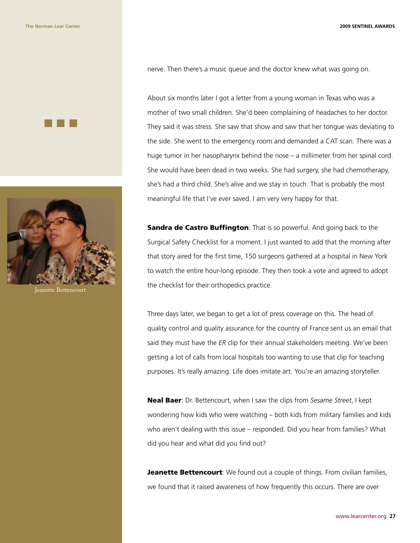



Jeanette Bettencourt

nerve. Then there's a music queue and the doctor knew what was going on.

About six months later I got a letter from a young woman in Texas who was a mother of two small children. She'd been complaining of headaches to her doctor. They said it was stress. She saw that show and saw that her tongue was deviating to the side. She went to the emergency room and demanded a CAT scan. There was a huge tumor in her nasopharynx behind the nose – a millimeter from her spinal cord. She would have been dead in two weeks. She had surgery, she had chemotherapy, she's had a third child. She's alive and we stay in touch. That is probably the most meaningful life that I've ever saved. I am very very happy for that.

**Sandra de Castro Buffington**: That is so powerful. And going back to the Surgical Safety Checklist for a moment. I just wanted to add that the morning after that story aired for the first time, 150 surgeons gathered at a hospital in New York to watch the entire hour-long episode. They then took a vote and agreed to adopt the checklist for their orthopedics practice.

Three days later, we began to get a lot of press coverage on this. The head of quality control and quality assurance for the country of France sent us an email that said they must have the *ER* clip for their annual stakeholders meeting. We've been getting a lot of calls from local hospitals too wanting to use that clip for teaching purposes. It's really amazing. Life does imitate art. You're an amazing storyteller.

Neal Baer: Dr. Bettencourt, when I saw the clips from *Sesame Street*, I kept wondering how kids who were watching – both kids from military families and kids who aren't dealing with this issue – responded. Did you hear from families? What did you hear and what did you find out?

**Jeanette Bettencourt:** We found out a couple of things. From civilian families, we found that it raised awareness of how frequently this occurs. There are over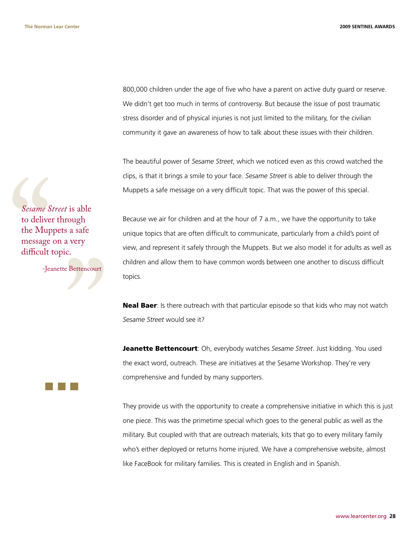800,000 children under the age of five who have a parent on active duty guard or reserve. We didn't get too much in terms of controversy. But because the issue of post traumatic stress disorder and of physical injuries is not just limited to the military, for the civilian community it gave an awareness of how to talk about these issues with their children.

The beautiful power of *Sesame Street*, which we noticed even as this crowd watched the clips, is that it brings a smile to your face. *Sesame Street* is able to deliver through the Muppets a safe message on a very difficult topic. That was the power of this special.

Sesame S<br>to delive<br>the Mup<br>message<br>difficult<br>-Jea *Sesame Street* is able to deliver through the Muppets a safe message on a very difficult topic.

-Jeanette Bettencourt

"

Because we air for children and at the hour of 7 a.m., we have the opportunity to take unique topics that are often difficult to communicate, particularly from a child's point of view, and represent it safely through the Muppets. But we also model it for adults as well as children and allow them to have common words between one another to discuss difficult topics.

**Neal Baer**: Is there outreach with that particular episode so that kids who may not watch *Sesame Street* would see it?

Jeanette Bettencourt: Oh, everybody watches *Sesame Street*. Just kidding. You used the exact word, outreach. These are initiatives at the Sesame Workshop. They're very comprehensive and funded by many supporters.

They provide us with the opportunity to create a comprehensive initiative in which this is just one piece. This was the primetime special which goes to the general public as well as the military. But coupled with that are outreach materials, kits that go to every military family who's either deployed or returns home injured. We have a comprehensive website, almost like FaceBook for military families. This is created in English and in Spanish.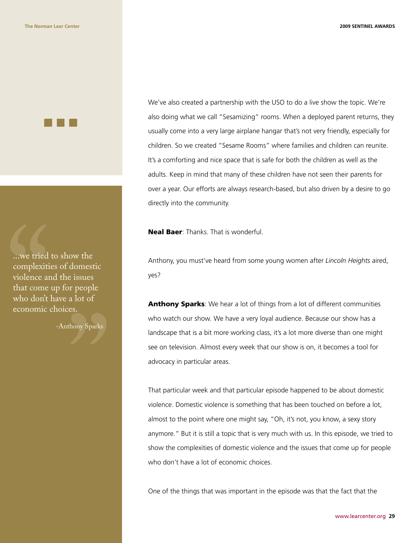...we tried<br>complexiti<br>violence at<br>that come<br>who don't<br>economic ...we tried to show the complexities of domestic violence and the issues that come up for people who don't have a lot of economic choices.

-Anthony Sparks

We've also created a partnership with the USO to do a live show the topic. We're also doing what we call "Sesamizing" rooms. When a deployed parent returns, they usually come into a very large airplane hangar that's not very friendly, especially for children. So we created "Sesame Rooms" where families and children can reunite. It's a comforting and nice space that is safe for both the children as well as the adults. Keep in mind that many of these children have not seen their parents for over a year. Our efforts are always research-based, but also driven by a desire to go directly into the community.

Neal Baer: Thanks. That is wonderful.

Anthony, you must've heard from some young women after *Lincoln Heights* aired, yes?

Anthony Sparks: We hear a lot of things from a lot of different communities who watch our show. We have a very loyal audience. Because our show has a landscape that is a bit more working class, it's a lot more diverse than one might see on television. Almost every week that our show is on, it becomes a tool for advocacy in particular areas.

That particular week and that particular episode happened to be about domestic violence. Domestic violence is something that has been touched on before a lot, almost to the point where one might say, "Oh, it's not, you know, a sexy story anymore." But it is still a topic that is very much with us. In this episode, we tried to show the complexities of domestic violence and the issues that come up for people who don't have a lot of economic choices.

One of the things that was important in the episode was that the fact that the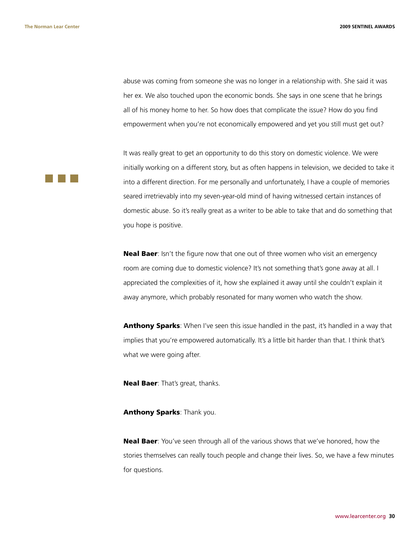**The Norman Lear Center 2009 SENTINEL AWARDS**

abuse was coming from someone she was no longer in a relationship with. She said it was her ex. We also touched upon the economic bonds. She says in one scene that he brings all of his money home to her. So how does that complicate the issue? How do you find empowerment when you're not economically empowered and yet you still must get out?

It was really great to get an opportunity to do this story on domestic violence. We were initially working on a different story, but as often happens in television, we decided to take it into a different direction. For me personally and unfortunately, I have a couple of memories seared irretrievably into my seven-year-old mind of having witnessed certain instances of domestic abuse. So it's really great as a writer to be able to take that and do something that you hope is positive.

Neal Baer: Isn't the figure now that one out of three women who visit an emergency room are coming due to domestic violence? It's not something that's gone away at all. I appreciated the complexities of it, how she explained it away until she couldn't explain it away anymore, which probably resonated for many women who watch the show.

**Anthony Sparks:** When I've seen this issue handled in the past, it's handled in a way that implies that you're empowered automatically. It's a little bit harder than that. I think that's what we were going after.

Neal Baer: That's great, thanks.

Anthony Sparks: Thank you.

Neal Baer: You've seen through all of the various shows that we've honored, how the stories themselves can really touch people and change their lives. So, we have a few minutes for questions.